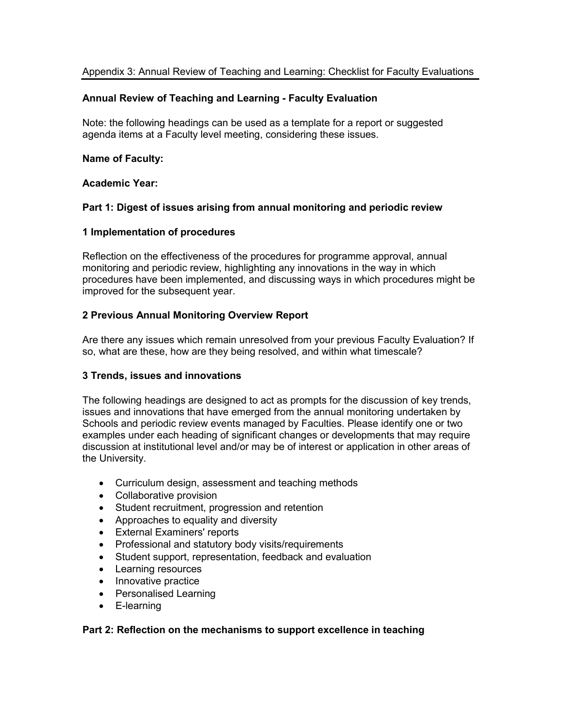# **Annual Review of Teaching and Learning - Faculty Evaluation**

Note: the following headings can be used as a template for a report or suggested agenda items at a Faculty level meeting, considering these issues.

## **Name of Faculty:**

## **Academic Year:**

# **Part 1: Digest of issues arising from annual monitoring and periodic review**

## **1 Implementation of procedures**

Reflection on the effectiveness of the procedures for programme approval, annual monitoring and periodic review, highlighting any innovations in the way in which procedures have been implemented, and discussing ways in which procedures might be improved for the subsequent year.

# **2 Previous Annual Monitoring Overview Report**

Are there any issues which remain unresolved from your previous Faculty Evaluation? If so, what are these, how are they being resolved, and within what timescale?

# **3 Trends, issues and innovations**

The following headings are designed to act as prompts for the discussion of key trends, issues and innovations that have emerged from the annual monitoring undertaken by Schools and periodic review events managed by Faculties. Please identify one or two examples under each heading of significant changes or developments that may require discussion at institutional level and/or may be of interest or application in other areas of the University.

- Curriculum design, assessment and teaching methods
- Collaborative provision
- Student recruitment, progression and retention
- Approaches to equality and diversity
- External Examiners' reports
- Professional and statutory body visits/requirements
- Student support, representation, feedback and evaluation
- Learning resources
- Innovative practice
- Personalised Learning
- E-learning

### **Part 2: Reflection on the mechanisms to support excellence in teaching**